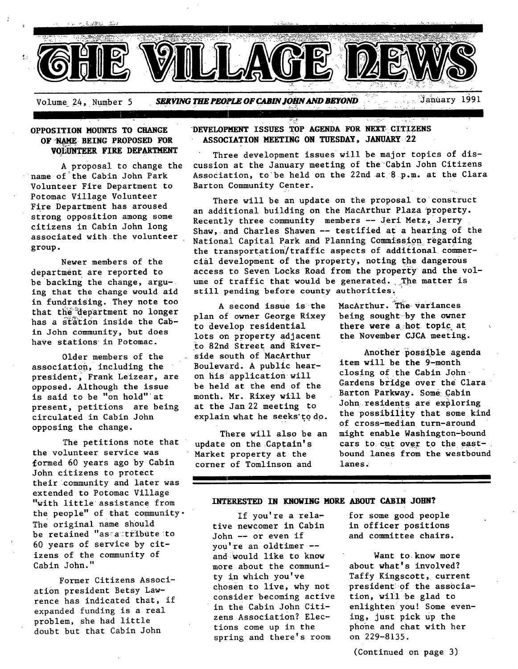

### **OPPOSITION HOUNTS TO CHANGE OF NAME BEING PROPOSED FOR VOLUNTEER FIRE DEPARTMENT**

A proposal to change the name of the Cabin John Park Volunteer Fire Department to Potomac Village Volunteer Fire Department has aroused strong opposition among some citizens in Cabin John long associated with the volunteer group.

Newer members of the department are reported to be backing the change, arguing that the change would aid in fundraising. They note too that the department no longer has a station inside the Cabin John community, but does have stations in Potomac.

Older members of the association, including the president, Frank Leizear, are opposed. Although the issue is said to be "on hold" at present, petitions are being circulated in Cabin John opposing the change.

The petitions note that update on the Captain's the volunteer service was Market property at the formed 60 years ago by Cabin corner of Tomlinson and John citizens to protect their community and later was extended to Potomac Village "with little assistance from the people" of that community-The original name should be retained "asaactribute to 60 years of service by citizens of the community of Cabin John."

Former Citizens Association president Betsy Lawrence has indicated that, if expanded funding is a real problem, she had little doubt but that Cabin John

### **DEVELOPMENT ISSUES TOP AGENDA FOR NEXT CITIZENS ASSOCIATION MEETING ON TUESDAY, JANUARY 22**

Three development issues will be major topics of discussion at the January meeting of the Cabin John Citizens Association, to be held on the 22nd at 8 p.m. at the Clara Barton Community Center.

There will be an update on the proposal to construct an additional building on the MacArthur Plaza property. Recently three community members -- Jeri Metz, Jerry Shaw, and Charles Shawen -- testified at a hearing of the National Capital Park and Planning Commission regarding the transportation/traffic aspects of additional commerclal development of the property, noting the dangerous access to Seven Locks Road from the property and the volume of traffic that would be generated. The matter is still pending before county authorities.

A Second issue is the plan of owner George Rixey to develop residential lots on property adjacent to 82nd Street and River- . side south of MacArthur Boulevard. A public hearon his application will be held at the end of the month. Mr. Rixey will be at the Jan 22 meeting to explain what he seeks'to do.

There will also be an

MacArthur. The variances being sought-by the owner there were a,hot topic at the November CJCA meeting.

Another possible agenda item will be the 9-month closing of the Cabin John-Gardens bridge over the Clara Barton Parkway. Some: Cabin John residents are exploring the possibility that some kind of cross-median turn-around might enable Washlngton-bound cars to cut over to the eastbound lanes from the westbound lanes. •

### **INTERESTED IN KNOWING MORE ABOUT CABIN** JOBN?

If you're a relative newcomer in Cabin John -- or even if you're an oldtimer - and would like to know more about the community in which you've chosen to live, why not consider becoming active in the Cabin John Citizens Association? Elections come up in the spring and there's room

for some good people in officer positions and committee chairs.

Want to know more about what's involved? Taffy Kingscott, current presldentiof the association, will be glad to enlighten you! Some evening, just pick up the phone and chat with her on 229-8135.

(Continued on page 3)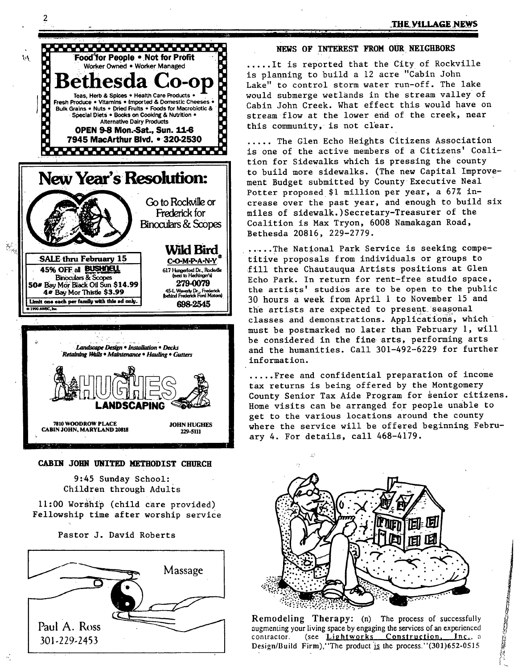### THE VILLAGE NEWS



#### CABIN JOHN UNITED METHODIST CHURCH

9:45 Sunday School: Children through Adults

11:00 Worship (child care provided) Fellowship time after worship service

Pastor J. David Roberts



### NEWS OF INTEREST FROM OUR NEIGHBORS

.....It is reported that the City of Rockville is planning to build a 12 acre "Cabin John Lake" to control storm water run-off. The lake would submerge wetlands in the stream valley of Cabin John Creek. What effect this would have on stream flow at the lower end of the creek, near this community, is not clear.

..... The Glen Echo Heights Citizens Association is one of the active members of a Citizens' Coalition for Sidewalks which is pressing the county to build more sidewalks. (The new Capital Improvement Budget submitted by County Executive Neal Potter proposed \$1 million per year, a 67% increase over the past year, and enough to build six miles of sidewalk.) Secretary-Treasurer of the Coalition is Max Tryon, 6008 Namakagan Road, Bethesda 20816, 229-2779.

.....The National Park Service is seeking competitive proposals from individuals or groups to fill three Chautauqua Artists positions at Glen Echo Park. In return for rent-free studio space, the artists' studios are to be open to the public 30 hours a week from April 1 to November 15 and the artists are expected to present seasonal classes and demonstrations. Applications, which must be postmarked no later than February 1, will be considered in the fine arts, performing arts and the humanities. Call 301-492-6229 for further information.

.....Free and confidential preparation of income tax returns is being offered by the Montgomery County Senior Tax Aide Program for senior citizens. Home visits can be arranged for people unable to get to the various locations around the county where the service will be offered beginning February 4. For details, call 468-4179.



Remodeling Therapy: (n) The process of successfully augmenting your living space by engaging the services of an experienced contractor. (see Lightworks Construction, Inc., a Design/Build Firm), 'The product is the process.''(301)652-0515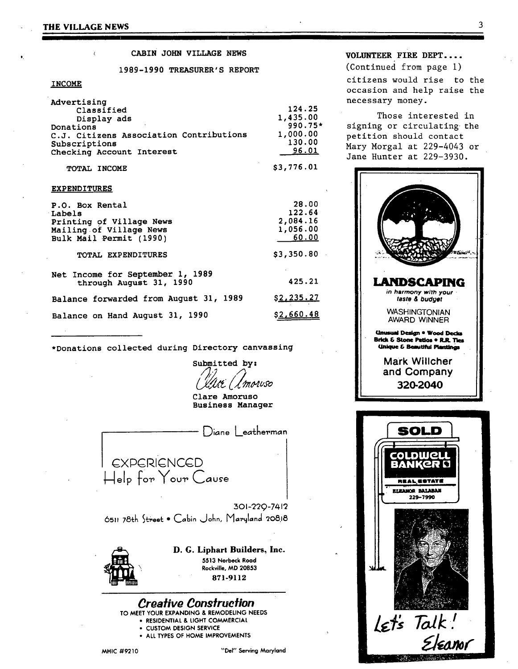#### CABIN JOHN VILLAGE NEWS

1989-1990 TREASURER'S REPORT

### **INCOME**

| Advertising                             |            |
|-----------------------------------------|------------|
| Classified                              | 124.25     |
| Display ads                             | 1,435.00   |
| Donations                               | $990.75*$  |
| C.J. Citizens Association Contributions | 1,000.00   |
| Subscriptions                           | 130.00     |
| Checking Account Interest               | 96.01      |
| TOTAL INCOME                            | \$3,776.01 |

TOTAL INCOME

#### **EXPENDITURES**

| P.O. Box Rental<br>Labels<br>Printing of Village News<br>Mailing of Village News<br>Bulk Mail Permit (1990) | 28.00<br>122.64<br>2,084.16<br>1,056.00<br>60.00 |
|-------------------------------------------------------------------------------------------------------------|--------------------------------------------------|
| TOTAL EXPENDITURES                                                                                          | \$3,350.80                                       |
| Net Income for September 1, 1989<br>through August 31, 1990                                                 | 425.21                                           |
| Balance forwarded from August 31, 1989                                                                      | <u>\$2,235.27</u>                                |
| Balance on Hand August 31, 1990                                                                             | \$2,660.48                                       |

\*Donations collected during Directory canvassing

Submitted by: lt (L'morvso

Clare Amoruso **Business Manager** 

Diane Leatherman EXPERIENCED Help for Your Cause

301-220-7412 6511 78th Street . Cabin John, Maryland 20818



D. G. Liphart Builders, Inc. 5513 Norbeck Road Rockville, MD 20853 871-9112



# VOLUNTEER FIRE DEPT....

(Continued from page 1) citizens would rise to the occasion and help raise the necessary money.

Those interested in signing or circulating the petition should contact Mary Morgal at 229-4043 or Jane Hunter at 229-3930.



Let's Talk!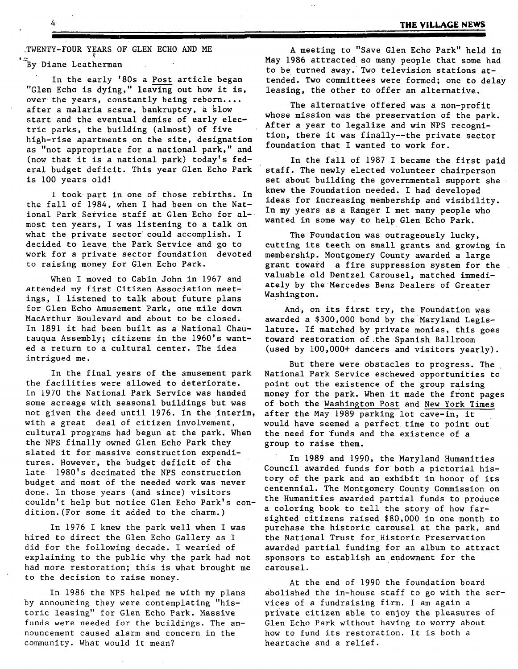~TWENTY-FOUR YEARS OF GLEN ECHO AND ME '<sup>'</sup>By Diane Leatherman

In the early '80s a Post article began "Glen Echo is dying," leaving out how it is, over the years, constantly being reborn.... after a malaria scare, bankruptcy, a §low start and the eventual demise of early electric parks, the building (almost) of five high-rise apartments on the site, designation as "not appropriate for a national park," and (now that it is a national park) today's federal budget deficit. This year Glen Echo Park is i00 years old!

I took part in one of those rebirths. In the fall of 1984, when I had been on the National Park Service staff at Glen Echo for almost ten years, I was listening to a talk on what the private sector could accomplish. I decided to leave the Park Service and go to work for a private sector foundation devoted to raising money for Glen Echo Park.

When I moved to Cabin John in 1967 and attended my first Citizen Association meetings, I listened to talk about future plans for Glen Echo Amusement Park, one mile down MacArthur Boulevard and about to be closed. In 1891 it had been built as a National Chautauqua Assembly; citizens in the 1960's wanted a return to a cultural center. The idea intrigued me.

In the final years of the amusement park the facilities were allowed to deteriorate. In 1970 the National Park Service was handed some acreage with seasonal buildings but was not given the deed until 1976. In the interim, after the May 1989 parking lot cave-in, it with a great deal of citizen involvement, cultural programs had begun at the park. When the NPS finally owned Glen Echo Park they slated it for massive construction expenditures. However, the budget deficit of the late 1980's decimated the NPS construction budget and most of the needed work was never done. In those years (and since) visitors couldn't help but notice Glen Echo Park's condition.(For some it added to the charm.)

In 1976 1 knew the park well when I was hired to direct the Glen Echo Gallery as I did for the following decade. I wearied of explaining to the public why the park had not had more restoration; this is what brought me to the decision to raise money.

In 1986 the NPS helped me with my plans by announcing they were contemplating "historic leasing" for Glen Echo Park. Massive funds were needed for the buildings. The announcement caused alarm and concern in the community. What would it mean?

A meeting to "Save Glen Echo Park" held in May 1986 attracted so many people that some had to be turned away. Two television stations attended. Two Committees were formed; one to delay leasing, the other to offer an alternative.

The alternative offered was a non-profit whose mission was the preservation of the park. After a year to legalize and win NPS recognition, there it was finally--the private sector foundation that I wanted to work for.

In the fall of 1987 1 became the first paid staff. The newly elected volunteer chairperson set about building the governmental support she . knew the Foundation needed. I had developed ideas for increasing membership and visibility. In my years as a Ranger I met many people who wanted in some way to help Glen Echo Park.

The Foundation was outrageously lucky, cutting its teeth on small grants and growing in membership. Montgomery County awarded a large grant toward a fire suppression system for the valuable old Dentzel Carousel, matched immediately by the Mercedes Benz Dealers of Greater Washington.

And, on its first try, the Foundation was awarded a \$300,000 bond by the Maryland Legislature. If matched by private monies, this goes toward restoration of the Spanish Ballroom (used by i00,000+ dancers and visitors yearly).

But there were obstacles to progress. The National Park Service eschewed opportunities to point out the existence of the group raising money for the park. When it made the front pages of both the Washington Post and New York Times would have seemed a perfect time to point out the need for funds and the existence of a group to raise them.

In 1989 and 1990, the Maryland Humanities Council awarded funds for both a pictorial history of the park and an exhibit in honor of its centennial. The Montgomery County Commission on the Humanities awarded partial funds to produce a coloring book to tell the story of how farsighted citizens raised \$80,000 in one month to purchase the historic carousel at the park, and the National Trust for Historic Preservation awarded partial funding for an album to attract sponsors to establish an endowment for the carousel.

At the end of 1990 the foundation board abolished the in-house staff to go with the services of a fundraising firm. I am again a private citizen able to enjoy the pleasures of Glen Echo Park without having to worry about how to fund its restoration. It is both a heartache and a relief.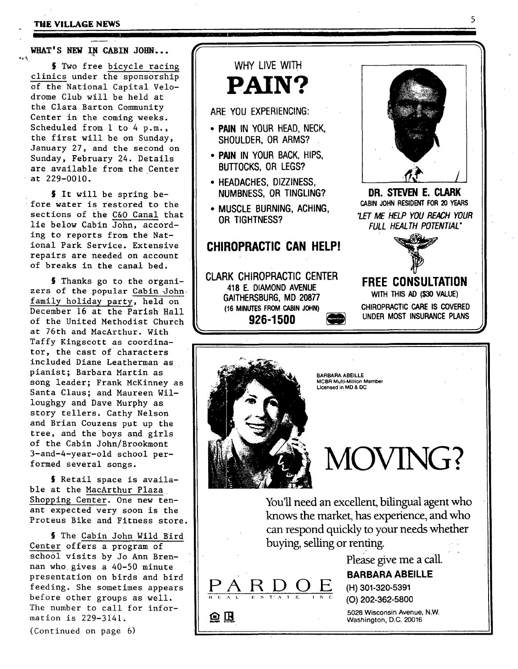#### **THE VILLAGE NEWS**

WHAT'S NEW IN CABIN JOHN...

ا ان استخدام الشاعر التي يوس السابستي التي استخدام المناسبي من

§ Two free bicycle racing clinics under the sponsorship of the National Capital Velodrome Club will be held at the Clara Barton Community Center in the coming weeks. Scheduled from i to 4 p.m., the first will be on Sunday, January 27, and the second on Sunday, February 24. Details are available from the Center at 229-0010.

§ It will be spring before water is restored to the sections of the C&O Canal that lie below Cabin John, according to reports from the National Park Service. Extensive repairs are needed on account of breaks in the canal bed.

§ Thanks go to the organizers of the popular Cabin John family holiday party, held on December 16 at the Parish Hall of the United Methodist Church at 76th and MacArthur. With Taffy Kingscott as coordinator, the cast of characters included Diane Leatherman as pianist; Barbara Martin as song leader; Frank McKinney as Santa Claus; and Maureen Willoughgy and Dave Murphy as story tellers. Cathy Nelson and Brian Couzens put up the tree, and the boys and girls of the Cabin John/Brookmont 3-and-4-year-old school performed several songs.

§ Retail space is available at the MacArthur Plaza Shopping Center. One new tenant expected very soon is the Proteus Bike and Fitness store.

§ The Cabin John Wild Bird Center offers a program of school visits by Jo Ann Brennan who gives a 40-50 minute presentation on birds and bird feeding. She sometimes appears before other groups as well. The number to call for information is 229-3141.

(Continued on page 6)

**WHY LIVE WITH PAIN?** 

m II I

### **ARE YOU EXPERIENCING:**

- **PAIN IN YOUR HEAD, NECK, SHOULDER, OR ARMS?**
- **PAIN IN YOUR BACK, HIPS, BUTTOCKS, OR LEGS?**
- **HEADACHES, DIZZINESS, NUMBNESS, OR TINGLING?**
- **MUSCLE BURNING, ACHING, OR TIGHTNESS?**

# **CHIROPRACTIC CAN HELP!**

**CLARK CHIROPRACTIC CENTER 418 E. DIAMOND AVENUE GAITHERSBURG, MD 20877 (16 MINUTES FROM CABIN JOHN) 926-1500 [~** 



**DR. STEVEN E. CLARK CABIN JOHN RESIDENT FOR 20 YEARS**  *"LET ME HELP YOU REACH YOUR FULL HEALTH POTENTIAL"* 



# **FREE CONSULTATION WITH THIS AD (\$30 VALUE) CHIROPRACTIC CARE IS COVERED UNDER MOST INSURANCE PLANS**



**PARDOE** 

鱼围

**BARBARA ABEILLE**  MCBR Multi-Million Member **Licensed** in MD & DC

**MOVING?** 

**You'll need an excellent, bilingual agent who knows the market, has experience, and who can respond quickly to your needs whether buying, selling or renting.** 

**Please give me a call.** 

# **BARBARA ABEILLE**

**(H) 301-320-5391**  (O) 202-362-5800

**5028** Wisconsin Avenue, **N.W.**  Washington, D.C. 20016